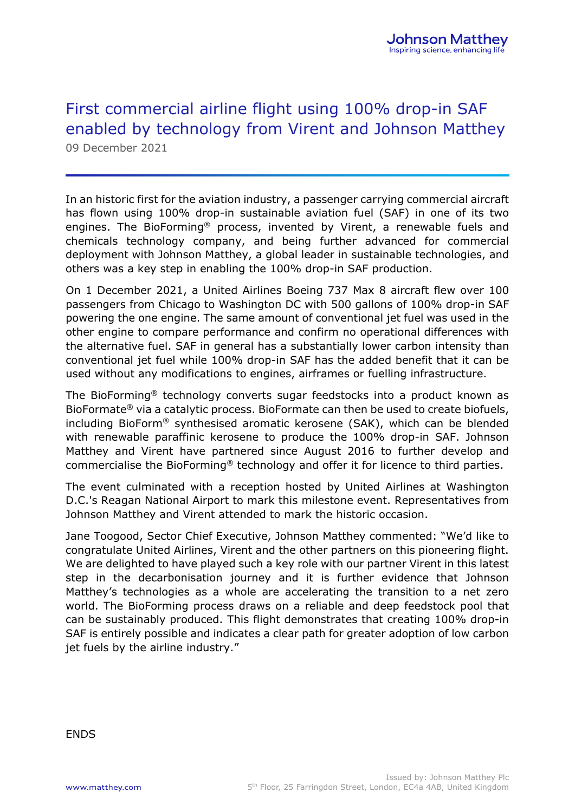## First commercial airline flight using 100% drop-in SAF enabled by technology from Virent and Johnson Matthey 09 December 2021

In an historic first for the aviation industry, a passenger carrying commercial aircraft has flown using 100% drop-in sustainable aviation fuel (SAF) in one of its two engines. The BioForming® process, invented by Virent, a renewable fuels and chemicals technology company, and being further advanced for commercial deployment with Johnson Matthey, a global leader in sustainable technologies, and others was a key step in enabling the 100% drop-in SAF production.

On 1 December 2021, a United Airlines Boeing 737 Max 8 aircraft flew over 100 passengers from Chicago to Washington DC with 500 gallons of 100% drop-in SAF powering the one engine. The same amount of conventional jet fuel was used in the other engine to compare performance and confirm no operational differences with the alternative fuel. SAF in general has a substantially lower carbon intensity than conventional jet fuel while 100% drop-in SAF has the added benefit that it can be used without any modifications to engines, airframes or fuelling infrastructure.

The BioForming® technology converts sugar feedstocks into a product known as BioFormate® via a catalytic process. BioFormate can then be used to create biofuels, including BioForm® synthesised aromatic kerosene (SAK), which can be blended with renewable paraffinic kerosene to produce the 100% drop-in SAF. Johnson Matthey and Virent have partnered since August 2016 to further develop and commercialise the BioForming® technology and offer it for licence to third parties.

The event culminated with a reception hosted by United Airlines at Washington D.C.'s Reagan National Airport to mark this milestone event. Representatives from Johnson Matthey and Virent attended to mark the historic occasion.

Jane Toogood, Sector Chief Executive, Johnson Matthey commented: "We'd like to congratulate United Airlines, Virent and the other partners on this pioneering flight. We are delighted to have played such a key role with our partner Virent in this latest step in the decarbonisation journey and it is further evidence that Johnson Matthey's technologies as a whole are accelerating the transition to a net zero world. The BioForming process draws on a reliable and deep feedstock pool that can be sustainably produced. This flight demonstrates that creating 100% drop-in SAF is entirely possible and indicates a clear path for greater adoption of low carbon jet fuels by the airline industry."

ENDS